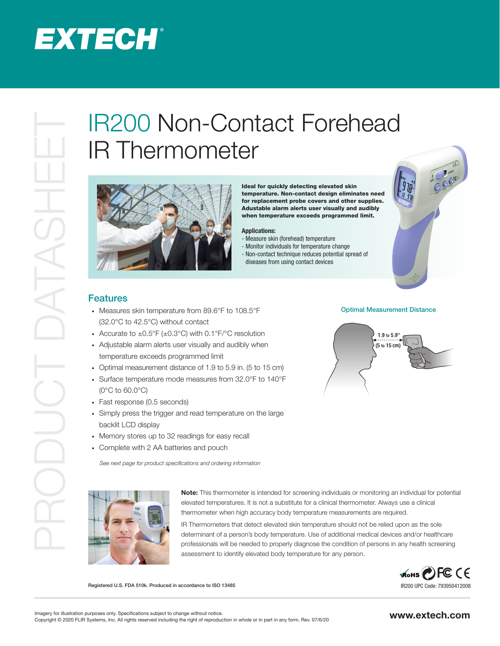# **EXTECH®**

# PRODUCT DATASHEETIRE TRANSPORTED THE CONTRACT FOREHEAD AND THE CONTRACT THE CONTRACT THE CONTRACT THE CONTRACT THE CONTRACT THE CONTRACT THE CONTRACT THE CONTRACT THE CONTRACT THE CONTRACT THE CONTRACT THE CONTRACT THE CO IR Thermometer



Ideal for quickly detecting elevated skin temperature. Non-contact design eliminates need for replacement probe covers and other supplies. Adustable alarm alerts user visually and audibly when temperature exceeds programmed limit.

### Applications:

- Measure skin (forehead) temperature
- Monitor individuals for temperature change
- Non-contact technique reduces potential spread of
- diseases from using contact devices



## **Features**

- · Measures skin temperature from 89.6°F to 108.5°F (32.0°C to 42.5°C) without contact
- Accurate to  $\pm 0.5^{\circ}F (\pm 0.3^{\circ}C)$  with 0.1°F/°C resolution
- · Adjustable alarm alerts user visually and audibly when temperature exceeds programmed limit
- · Optimal measurement distance of 1.9 to 5.9 in. (5 to 15 cm)
- · Surface temperature mode measures from 32.0°F to 140°F (0°C to 60.0°C)
- · Fast response (0.5 seconds)
- · Simply press the trigger and read temperature on the large backlit LCD display
- · Memory stores up to 32 readings for easy recall
- · Complete with 2 AA batteries and pouch

*See next page for product specifications and ordering information*



Note: This thermometer is intended for screening individuals or monitoring an individual for potential elevated temperatures. It is not a substitute for a clinical thermometer. Always use a clinical thermometer when high accuracy body temperature measurements are required.

IR Thermometers that detect elevated skin temperature should not be relied upon as the sole determinant of a person's body temperature. Use of additional medical devices and/or healthcare professionals will be needed to properly diagnose the condition of persons in any health screening assessment to identify elevated body temperature for any person.

> WOHS PE CE IR200 UPC Code: 793950412008

Registered U.S. FDA 510k. Produced in accordance to ISO 13485